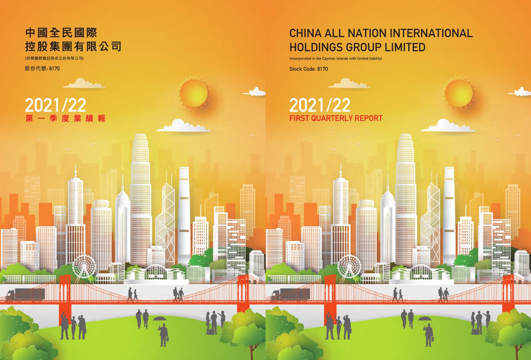# CHINA ALL NATION INTERNATIONAL HOLDINGS GROUP LIMITED

₩

.......

(incorporated in the Cayman Islands with limited liability)

Stock Code: 8170

# FIRST QUARTERLY REPORT 2021/22 2021/22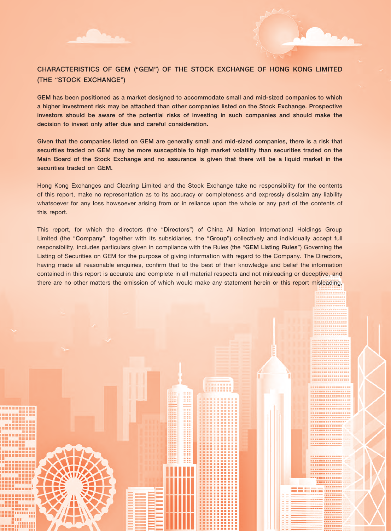

GEM has been positioned as a market designed to accommodate small and mid-sized companies to which a higher investment risk may be attached than other companies listed on the Stock Exchange. Prospective investors should be aware of the potential risks of investing in such companies and should make the decision to invest only after due and careful consideration.

Given that the companies listed on GEM are generally small and mid-sized companies, there is a risk that securities traded on GEM may be more susceptible to high market volatility than securities traded on the Main Board of the Stock Exchange and no assurance is given that there will be a liquid market in the securities traded on GEM.

Hong Kong Exchanges and Clearing Limited and the Stock Exchange take no responsibility for the contents of this report, make no representation as to its accuracy or completeness and expressly disclaim any liability whatsoever for any loss howsoever arising from or in reliance upon the whole or any part of the contents of this report.

This report, for which the directors (the "Directors") of China All Nation International Holdings Group Limited (the "Company", together with its subsidiaries, the "Group") collectively and individually accept full responsibility, includes particulars given in compliance with the Rules (the "GEM Listing Rules") Governing the Listing of Securities on GEM for the purpose of giving information with regard to the Company. The Directors, having made all reasonable enquiries, confirm that to the best of their knowledge and belief the information contained in this report is accurate and complete in all material respects and not misleading or deceptive, and there are no other matters the omission of which would make any statement herein or this report misleading.

m

----------........

------

maan ah

8888888

1995 **. . . . . .** 

,,,,,,,,,, eestiiniin Em mm

............

-----------------**\*\*\*\*\*\*\*\*\*\*\*\*\*\*\*\*\*\*** 

--------------------------------------------,,,,,,,,,,,,,,,,

--------------

..............

-----

------------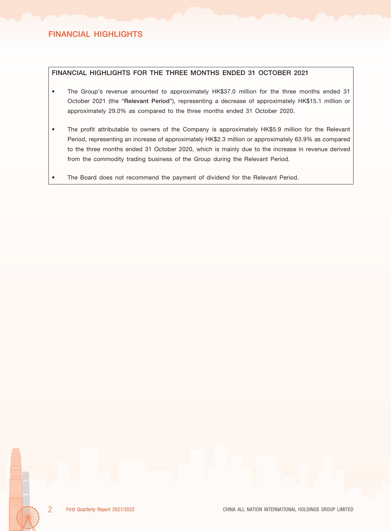# FINANCIAL HIGHLIGHTS FOR THE THREE MONTHS ENDED 31 OCTOBER 2021

- The Group's revenue amounted to approximately HK\$37.0 million for the three months ended 31 October 2021 (the "Relevant Period"), representing a decrease of approximately HK\$15.1 million or approximately 29.0% as compared to the three months ended 31 October 2020.
- The profit attributable to owners of the Company is approximately HK\$5.9 million for the Relevant Period, representing an increase of approximately HK\$2.3 million or approximately 63.9% as compared to the three months ended 31 October 2020, which is mainly due to the increase in revenue derived from the commodity trading business of the Group during the Relevant Period.
- The Board does not recommend the payment of dividend for the Relevant Period.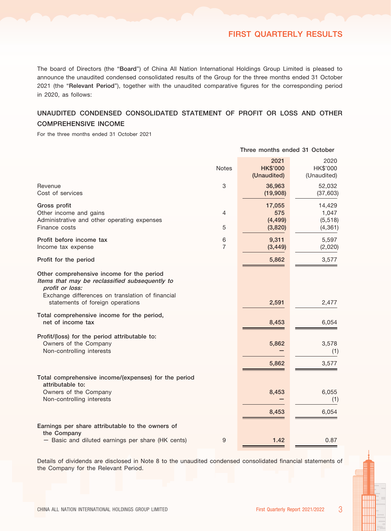# FIRST QUARTERLY RESULTS

Three months ended 31 October

The board of Directors (the "Board") of China All Nation International Holdings Group Limited is pleased to announce the unaudited condensed consolidated results of the Group for the three months ended 31 October 2021 (the "Relevant Period"), together with the unaudited comparative figures for the corresponding period in 2020, as follows:

# UNAUDITED CONDENSED CONSOLIDATED STATEMENT OF PROFIT OR LOSS AND OTHER COMPREHENSIVE INCOME

For the three months ended 31 October 2021

|                                                                                                                                                                                                        | <b>Notes</b>              | 2021<br><b>HK\$'000</b><br>(Unaudited) | 2020<br>HK\$'000<br>(Unaudited)         |
|--------------------------------------------------------------------------------------------------------------------------------------------------------------------------------------------------------|---------------------------|----------------------------------------|-----------------------------------------|
| Revenue<br>Cost of services                                                                                                                                                                            | $\ensuremath{\mathsf{3}}$ | 36,963<br>(19,908)                     | 52,032<br>(37, 603)                     |
| Gross profit<br>Other income and gains<br>Administrative and other operating expenses<br>Finance costs                                                                                                 | 4<br>5                    | 17,055<br>575<br>(4, 499)<br>(3,820)   | 14,429<br>1,047<br>(5, 518)<br>(4, 361) |
| Profit before income tax<br>Income tax expense                                                                                                                                                         | 6<br>$\overline{7}$       | 9,311<br>(3, 449)                      | 5,597<br>(2,020)                        |
| Profit for the period                                                                                                                                                                                  |                           | 5,862                                  | 3,577                                   |
| Other comprehensive income for the period<br>Items that may be reclassified subsequently to<br>profit or loss:<br>Exchange differences on translation of financial<br>statements of foreign operations |                           | 2,591                                  | 2,477                                   |
| Total comprehensive income for the period,<br>net of income tax                                                                                                                                        |                           | 8,453                                  | 6,054                                   |
| Profit/(loss) for the period attributable to:<br>Owners of the Company<br>Non-controlling interests                                                                                                    |                           | 5,862<br>5,862                         | 3,578<br>(1)<br>3,577                   |
| Total comprehensive income/(expenses) for the period<br>attributable to:                                                                                                                               |                           |                                        |                                         |
| Owners of the Company<br>Non-controlling interests                                                                                                                                                     |                           | 8,453                                  | 6,055<br>(1)                            |
|                                                                                                                                                                                                        |                           | 8,453                                  | 6,054                                   |
| Earnings per share attributable to the owners of<br>the Company                                                                                                                                        |                           |                                        |                                         |
| - Basic and diluted earnings per share (HK cents)                                                                                                                                                      | 9                         | 1.42                                   | 0.87                                    |

Details of dividends are disclosed in Note 8 to the unaudited condensed consolidated financial statements of the Company for the Relevant Period.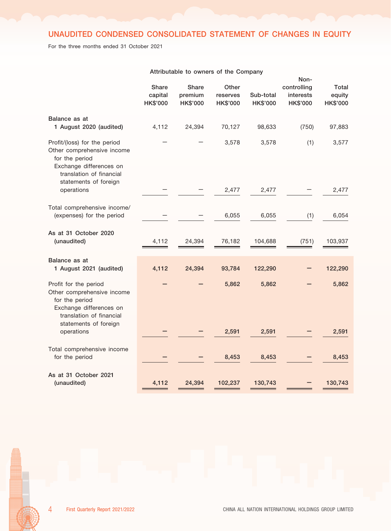# UNAUDITED CONDENSED CONSOLIDATED STATEMENT OF CHANGES IN EQUITY

For the three months ended 31 October 2021

|                                                                                                                                                              | Share<br>capital<br>HK\$'000 | Share<br>premium<br>HK\$'000 | Other<br>reserves<br><b>HK\$'000</b> | Sub-total<br><b>HK\$'000</b> | Non-<br>controlling<br>interests<br><b>HK\$'000</b> | Total<br>equity<br>HK\$'000 |
|--------------------------------------------------------------------------------------------------------------------------------------------------------------|------------------------------|------------------------------|--------------------------------------|------------------------------|-----------------------------------------------------|-----------------------------|
| Balance as at<br>1 August 2020 (audited)                                                                                                                     | 4,112                        | 24,394                       | 70,127                               | 98,633                       | (750)                                               | 97,883                      |
| Profit/(loss) for the period<br>Other comprehensive income<br>for the period<br>Exchange differences on<br>translation of financial<br>statements of foreign |                              |                              | 3,578                                | 3,578                        | (1)                                                 | 3,577                       |
| operations                                                                                                                                                   |                              |                              | 2,477                                | 2,477                        |                                                     | 2,477                       |
| Total comprehensive income/<br>(expenses) for the period                                                                                                     |                              |                              | 6,055                                | 6,055                        | (1)                                                 | 6,054                       |
| As at 31 October 2020<br>(unaudited)                                                                                                                         | 4,112                        | 24,394                       | 76,182                               | 104,688                      | (751)                                               | 103,937                     |
| Balance as at<br>1 August 2021 (audited)                                                                                                                     | 4,112                        | 24,394                       | 93,784                               | 122,290                      |                                                     | 122,290                     |
| Profit for the period<br>Other comprehensive income<br>for the period<br>Exchange differences on<br>translation of financial<br>statements of foreign        |                              |                              | 5,862                                | 5,862                        |                                                     | 5,862                       |
| operations                                                                                                                                                   |                              |                              | 2,591                                | 2,591                        |                                                     | 2,591                       |
| Total comprehensive income<br>for the period                                                                                                                 |                              |                              | 8,453                                | 8,453                        |                                                     | 8,453                       |
| As at 31 October 2021<br>(unaudited)                                                                                                                         | 4,112                        | 24,394                       | 102,237                              | 130,743                      |                                                     | 130,743                     |

#### Attributable to owners of the Company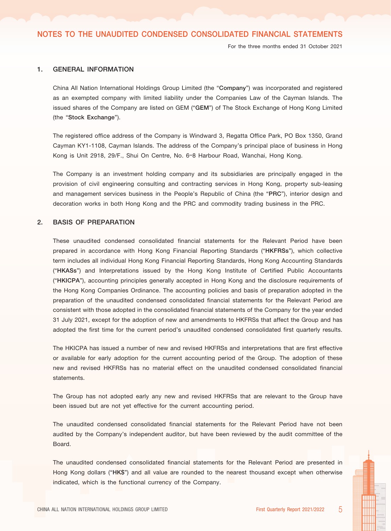For the three months ended 31 October 2021

#### 1. GENERAL INFORMATION

China All Nation International Holdings Group Limited (the "Company") was incorporated and registered as an exempted company with limited liability under the Companies Law of the Cayman Islands. The issued shares of the Company are listed on GEM ("GEM") of The Stock Exchange of Hong Kong Limited (the "Stock Exchange").

The registered office address of the Company is Windward 3, Regatta Office Park, PO Box 1350, Grand Cayman KY1-1108, Cayman Islands. The address of the Company's principal place of business in Hong Kong is Unit 2918, 29/F., Shui On Centre, No. 6–8 Harbour Road, Wanchai, Hong Kong.

The Company is an investment holding company and its subsidiaries are principally engaged in the provision of civil engineering consulting and contracting services in Hong Kong, property sub-leasing and management services business in the People's Republic of China (the "PRC"), interior design and decoration works in both Hong Kong and the PRC and commodity trading business in the PRC.

#### 2. BASIS OF PREPARATION

These unaudited condensed consolidated financial statements for the Relevant Period have been prepared in accordance with Hong Kong Financial Reporting Standards ("HKFRSs"), which collective term includes all individual Hong Kong Financial Reporting Standards, Hong Kong Accounting Standards ("HKASs") and Interpretations issued by the Hong Kong Institute of Certified Public Accountants ("HKICPA"), accounting principles generally accepted in Hong Kong and the disclosure requirements of the Hong Kong Companies Ordinance. The accounting policies and basis of preparation adopted in the preparation of the unaudited condensed consolidated financial statements for the Relevant Period are consistent with those adopted in the consolidated financial statements of the Company for the year ended 31 July 2021, except for the adoption of new and amendments to HKFRSs that affect the Group and has adopted the first time for the current period's unaudited condensed consolidated first quarterly results.

The HKICPA has issued a number of new and revised HKFRSs and interpretations that are first effective or available for early adoption for the current accounting period of the Group. The adoption of these new and revised HKFRSs has no material effect on the unaudited condensed consolidated financial statements.

The Group has not adopted early any new and revised HKFRSs that are relevant to the Group have been issued but are not yet effective for the current accounting period.

The unaudited condensed consolidated financial statements for the Relevant Period have not been audited by the Company's independent auditor, but have been reviewed by the audit committee of the Board.

The unaudited condensed consolidated financial statements for the Relevant Period are presented in Hong Kong dollars ("HK\$") and all value are rounded to the nearest thousand except when otherwise indicated, which is the functional currency of the Company.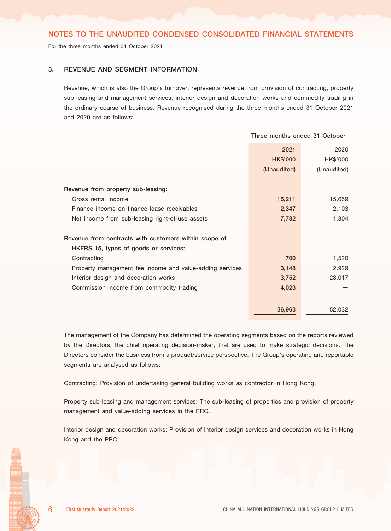For the three months ended 31 October 2021

#### 3. REVENUE AND SEGMENT INFORMATION

Revenue, which is also the Group's turnover, represents revenue from provision of contracting, property sub-leasing and management services, interior design and decoration works and commodity trading in the ordinary course of business. Revenue recognised during the three months ended 31 October 2021 and 2020 are as follows:

|                                                          | Three months ended 31 October |             |
|----------------------------------------------------------|-------------------------------|-------------|
|                                                          | 2021                          | 2020        |
|                                                          | <b>HK\$'000</b>               | HK\$'000    |
|                                                          | (Unaudited)                   | (Unaudited) |
|                                                          |                               |             |
| Revenue from property sub-leasing:                       |                               |             |
| Gross rental income                                      | 15,211                        | 15,659      |
| Finance income on finance lease receivables              | 2,347                         | 2,103       |
| Net income from sub-leasing right-of-use assets          | 7,782                         | 1,804       |
|                                                          |                               |             |
| Revenue from contracts with customers within scope of    |                               |             |
| HKFRS 15, types of goods or services:                    |                               |             |
| Contracting                                              | 700                           | 1,520       |
| Property management fee income and value-adding services | 3,148                         | 2,929       |
| Interior design and decoration works                     | 3,752                         | 28,017      |
| Commission income from commodity trading                 | 4,023                         |             |
|                                                          |                               |             |
|                                                          | 36,963                        | 52,032      |

The management of the Company has determined the operating segments based on the reports reviewed by the Directors, the chief operating decision-maker, that are used to make strategic decisions. The Directors consider the business from a product/service perspective. The Group's operating and reportable segments are analysed as follows:

Contracting: Provision of undertaking general building works as contractor in Hong Kong.

Property sub-leasing and management services: The sub-leasing of properties and provision of property management and value-adding services in the PRC.

Interior design and decoration works: Provision of interior design services and decoration works in Hong Kong and the PRC.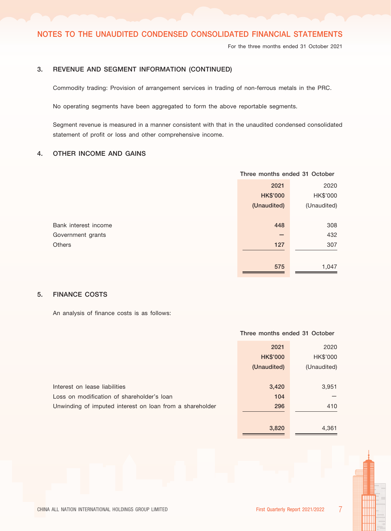For the three months ended 31 October 2021

# 3. REVENUE AND SEGMENT INFORMATION (CONTINUED)

Commodity trading: Provision of arrangement services in trading of non-ferrous metals in the PRC.

No operating segments have been aggregated to form the above reportable segments.

Segment revenue is measured in a manner consistent with that in the unaudited condensed consolidated statement of profit or loss and other comprehensive income.

# 4. OTHER INCOME AND GAINS

|                      | Three months ended 31 October |             |
|----------------------|-------------------------------|-------------|
|                      | 2021                          | 2020        |
|                      | <b>HK\$'000</b>               | HK\$'000    |
|                      | (Unaudited)                   | (Unaudited) |
|                      |                               |             |
| Bank interest income | 448                           | 308         |
| Government grants    | -                             | 432         |
| <b>Others</b>        | 127                           | 307         |
|                      |                               |             |
|                      | 575                           | 1,047       |
|                      |                               |             |

# 5. FINANCE COSTS

An analysis of finance costs is as follows:

# 2021 2020 HK\$'000 HK\$'000 (Unaudited) (Unaudited) **Interest on lease liabilities** 3,951 3,951 3,951 3,951 3,951 3,951 3,951 3,951 3,951 3,951 3,951 3,951 3,951 3,951 3,951 3,951 3,951 3,951 3,951 3,951 3,951 3,951 3,951 3,951 3,951 3,951 3,951 3,951 3,951 3,951 3,951 3,95 Loss on modification of shareholder's loan 104 and 104 and 104 and 104 and 104 and 104 and 104 and 104 and 104 Unwinding of imputed interest on loan from a shareholder 296 296 296 410 3,820 4,361

Three months ended 31 October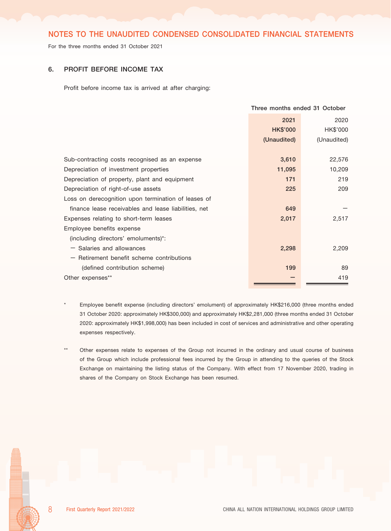For the three months ended 31 October 2021

#### 6. PROFIT BEFORE INCOME TAX

Profit before income tax is arrived at after charging:

|                                                      | Three months ended 31 October |             |
|------------------------------------------------------|-------------------------------|-------------|
|                                                      | 2021                          | 2020        |
|                                                      | <b>HK\$'000</b>               | HK\$'000    |
|                                                      | (Unaudited)                   | (Unaudited) |
|                                                      |                               |             |
| Sub-contracting costs recognised as an expense       | 3,610                         | 22,576      |
| Depreciation of investment properties                | 11,095                        | 10,209      |
| Depreciation of property, plant and equipment        | 171                           | 219         |
| Depreciation of right-of-use assets                  | 225                           | 209         |
| Loss on derecognition upon termination of leases of  |                               |             |
| finance lease receivables and lease liabilities, net | 649                           |             |
| Expenses relating to short-term leases               | 2,017                         | 2,517       |
| Employee benefits expense                            |                               |             |
| (including directors' emoluments)*:                  |                               |             |
| $-$ Salaries and allowances                          | 2,298                         | 2,209       |
| $-$ Retirement benefit scheme contributions          |                               |             |
| (defined contribution scheme)                        | 199                           | 89          |
| Other expenses**                                     |                               | 419         |

Employee benefit expense (including directors' emolument) of approximately HK\$216,000 (three months ended 31 October 2020: approximately HK\$300,000) and approximately HK\$2,281,000 (three months ended 31 October 2020: approximately HK\$1,998,000) has been included in cost of services and administrative and other operating expenses respectively.

Other expenses relate to expenses of the Group not incurred in the ordinary and usual course of business of the Group which include professional fees incurred by the Group in attending to the queries of the Stock Exchange on maintaining the listing status of the Company. With effect from 17 November 2020, trading in shares of the Company on Stock Exchange has been resumed.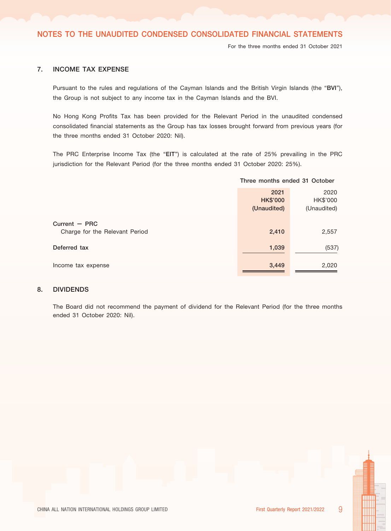For the three months ended 31 October 2021

# 7. INCOME TAX EXPENSE

Pursuant to the rules and regulations of the Cayman Islands and the British Virgin Islands (the "BVI"), the Group is not subject to any income tax in the Cayman Islands and the BVI.

No Hong Kong Profits Tax has been provided for the Relevant Period in the unaudited condensed consolidated financial statements as the Group has tax losses brought forward from previous years (for the three months ended 31 October 2020: Nil).

The PRC Enterprise Income Tax (the "EIT") is calculated at the rate of 25% prevailing in the PRC jurisdiction for the Relevant Period (for the three months ended 31 October 2020: 25%).

|                                                   | Three months ended 31 October          |                                 |
|---------------------------------------------------|----------------------------------------|---------------------------------|
|                                                   | 2021<br><b>HK\$'000</b><br>(Unaudited) | 2020<br>HK\$'000<br>(Unaudited) |
| Current $-$ PRC<br>Charge for the Relevant Period | 2,410                                  | 2,557                           |
| Deferred tax                                      | 1,039                                  | (537)                           |
| Income tax expense                                | 3,449                                  | 2,020                           |

# 8. DIVIDENDS

The Board did not recommend the payment of dividend for the Relevant Period (for the three months ended 31 October 2020: Nil).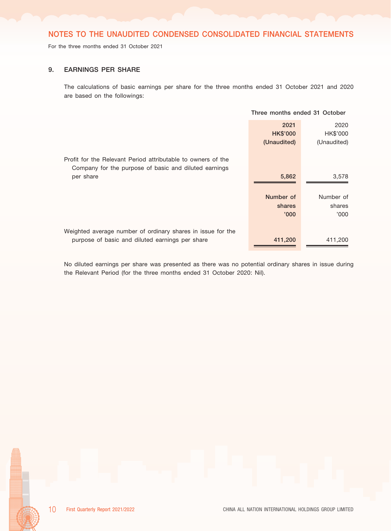For the three months ended 31 October 2021

#### 9. EARNINGS PER SHARE

The calculations of basic earnings per share for the three months ended 31 October 2021 and 2020 are based on the followings:

|                                                                                                                       | Three months ended 31 October |             |
|-----------------------------------------------------------------------------------------------------------------------|-------------------------------|-------------|
|                                                                                                                       | 2021                          | 2020        |
|                                                                                                                       | <b>HK\$'000</b>               | HK\$'000    |
|                                                                                                                       | (Unaudited)                   | (Unaudited) |
| Profit for the Relevant Period attributable to owners of the<br>Company for the purpose of basic and diluted earnings |                               |             |
| per share                                                                                                             | 5,862                         | 3,578       |
|                                                                                                                       |                               |             |
|                                                                                                                       | Number of                     | Number of   |
|                                                                                                                       | shares                        | shares      |
|                                                                                                                       | '000'                         | '000'       |
|                                                                                                                       |                               |             |
| Weighted average number of ordinary shares in issue for the                                                           |                               |             |
| purpose of basic and diluted earnings per share                                                                       | 411,200                       | 411,200     |

No diluted earnings per share was presented as there was no potential ordinary shares in issue during the Relevant Period (for the three months ended 31 October 2020: Nil).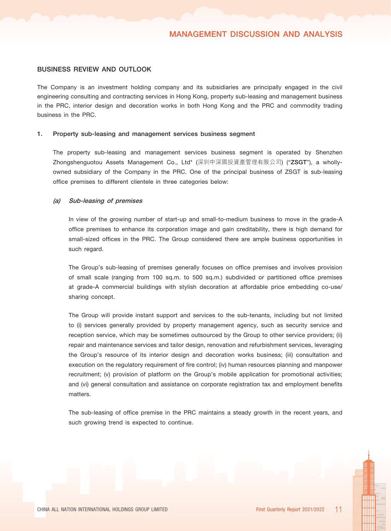#### BUSINESS REVIEW AND OUTLOOK

The Company is an investment holding company and its subsidiaries are principally engaged in the civil engineering consulting and contracting services in Hong Kong, property sub-leasing and management business in the PRC, interior design and decoration works in both Hong Kong and the PRC and commodity trading business in the PRC.

#### 1. Property sub-leasing and management services business segment

The property sub-leasing and management services business segment is operated by Shenzhen Zhongshenguotou Assets Management Co., Ltd\* (深圳中深國投資產管理有限公司) ("ZSGT"), a whollyowned subsidiary of the Company in the PRC. One of the principal business of ZSGT is sub-leasing office premises to different clientele in three categories below:

#### (a) Sub-leasing of premises

In view of the growing number of start-up and small-to-medium business to move in the grade-A office premises to enhance its corporation image and gain creditability, there is high demand for small-sized offices in the PRC. The Group considered there are ample business opportunities in such regard.

The Group's sub-leasing of premises generally focuses on office premises and involves provision of small scale (ranging from 100 sq.m. to 500 sq.m.) subdivided or partitioned office premises at grade-A commercial buildings with stylish decoration at affordable price embedding co-use/ sharing concept.

The Group will provide instant support and services to the sub-tenants, including but not limited to (i) services generally provided by property management agency, such as security service and reception service, which may be sometimes outsourced by the Group to other service providers; (ii) repair and maintenance services and tailor design, renovation and refurbishment services, leveraging the Group's resource of its interior design and decoration works business; (iii) consultation and execution on the regulatory requirement of fire control; (iv) human resources planning and manpower recruitment; (v) provision of platform on the Group's mobile application for promotional activities; and (vi) general consultation and assistance on corporate registration tax and employment benefits matters.

The sub-leasing of office premise in the PRC maintains a steady growth in the recent years, and such growing trend is expected to continue.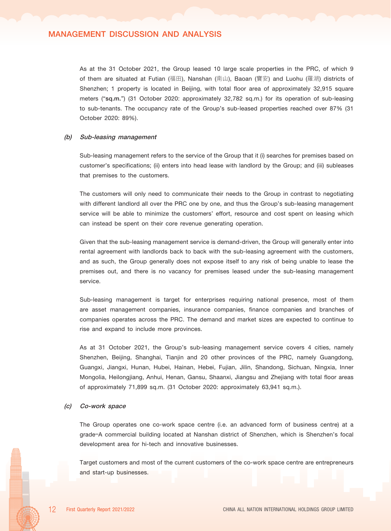# MANAGEMENT DISCUSSION AND ANALYSIS

As at the 31 October 2021, the Group leased 10 large scale properties in the PRC, of which 9 of them are situated at Futian (福田), Nanshan (南山), Baoan (寶安) and Luohu (羅湖) districts of Shenzhen; 1 property is located in Beijing, with total floor area of approximately 32,915 square meters ("sq.m.") (31 October 2020: approximately 32,782 sq.m.) for its operation of sub-leasing to sub-tenants. The occupancy rate of the Group's sub-leased properties reached over 87% (31 October 2020: 89%).

#### (b) Sub-leasing management

Sub-leasing management refers to the service of the Group that it (i) searches for premises based on customer's specifications; (ii) enters into head lease with landlord by the Group; and (iii) subleases that premises to the customers.

The customers will only need to communicate their needs to the Group in contrast to negotiating with different landlord all over the PRC one by one, and thus the Group's sub-leasing management service will be able to minimize the customers' effort, resource and cost spent on leasing which can instead be spent on their core revenue generating operation.

Given that the sub-leasing management service is demand-driven, the Group will generally enter into rental agreement with landlords back to back with the sub-leasing agreement with the customers, and as such, the Group generally does not expose itself to any risk of being unable to lease the premises out, and there is no vacancy for premises leased under the sub-leasing management service.

Sub-leasing management is target for enterprises requiring national presence, most of them are asset management companies, insurance companies, finance companies and branches of companies operates across the PRC. The demand and market sizes are expected to continue to rise and expand to include more provinces.

As at 31 October 2021, the Group's sub-leasing management service covers 4 cities, namely Shenzhen, Beijing, Shanghai, Tianjin and 20 other provinces of the PRC, namely Guangdong, Guangxi, Jiangxi, Hunan, Hubei, Hainan, Hebei, Fujian, Jilin, Shandong, Sichuan, Ningxia, Inner Mongolia, Heilongjiang, Anhui, Henan, Gansu, Shaanxi, Jiangsu and Zhejiang with total floor areas of approximately 71,899 sq.m. (31 October 2020: approximately 63,941 sq.m.).

#### (c) Co-work space

The Group operates one co-work space centre (i.e. an advanced form of business centre) at a grade–A commercial building located at Nanshan district of Shenzhen, which is Shenzhen's focal development area for hi-tech and innovative businesses.

Target customers and most of the current customers of the co-work space centre are entrepreneurs and start-up businesses.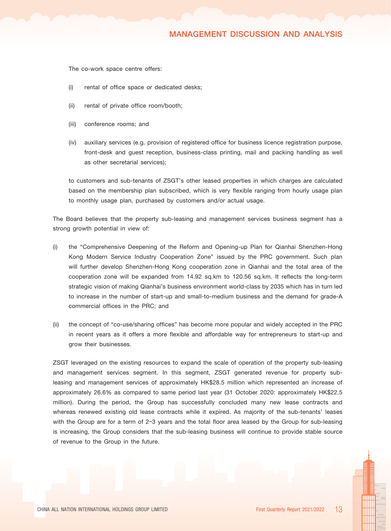# MANAGEMENT DISCUSSION AND ANALYSIS

The co-work space centre offers:

- (i) rental of office space or dedicated desks;
- (ii) rental of private office room/booth;
- (iii) conference rooms; and
- (iv) auxiliary services (e.g. provision of registered office for business licence registration purpose, front-desk and guest reception, business-class printing, mail and packing handling as well as other secretarial services);

to customers and sub-tenants of ZSGT's other leased properties in which charges are calculated based on the membership plan subscribed, which is very flexible ranging from hourly usage plan to monthly usage plan, purchased by customers and/or actual usage.

The Board believes that the property sub-leasing and management services business segment has a strong growth potential in view of:

- (i) the "Comprehensive Deepening of the Reform and Opening-up Plan for Qianhai Shenzhen-Hong Kong Modern Service Industry Cooperation Zone" issued by the PRC government. Such plan will further develop Shenzhen-Hong Kong cooperation zone in Qianhai and the total area of the cooperation zone will be expanded from 14.92 sq.km to 120.56 sq.km. It reflects the long-term strategic vision of making Qianhai's business environment world-class by 2035 which has in turn led to increase in the number of start-up and small-to-medium business and the demand for grade-A commercial offices in the PRC; and
- (ii) the concept of "co-use/sharing offices" has become more popular and widely accepted in the PRC in recent years as it offers a more flexible and affordable way for entrepreneurs to start-up and grow their businesses.

ZSGT leveraged on the existing resources to expand the scale of operation of the property sub-leasing and management services segment. In this segment, ZSGT generated revenue for property subleasing and management services of approximately HK\$28.5 million which represented an increase of approximately 26.6% as compared to same period last year (31 October 2020: approximately HK\$22.5 million). During the period, the Group has successfully concluded many new lease contracts and whereas renewed existing old lease contracts while it expired. As majority of the sub-tenants' leases with the Group are for a term of 2-3 years and the total floor area leased by the Group for sub-leasing is increasing, the Group considers that the sub-leasing business will continue to provide stable source of revenue to the Group in the future.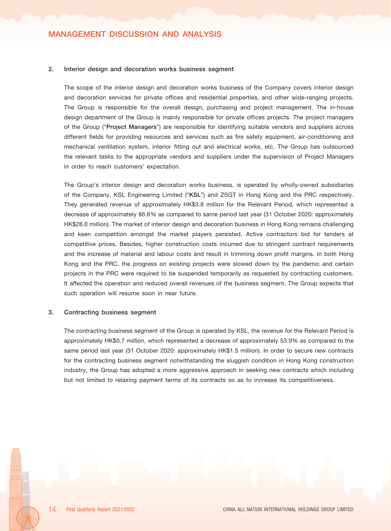#### 2. Interior design and decoration works business segment

The scope of the interior design and decoration works business of the Company covers interior design and decoration services for private offices and residential properties, and other wide-ranging projects. The Group is responsible for the overall design, purchasing and project management. The in-house design department of the Group is mainly responsible for private offices projects. The project managers of the Group ("Project Managers") are responsible for identifying suitable vendors and suppliers across different fields for providing resources and services such as fire safety equipment, air-conditioning and mechanical ventilation system, interior fitting out and electrical works, etc. The Group has outsourced the relevant tasks to the appropriate vendors and suppliers under the supervision of Project Managers in order to reach customers' expectation.

The Group's interior design and decoration works business, is operated by wholly-owned subsidiaries of the Company, KSL Engineering Limited ("KSL") and ZSGT in Hong Kong and the PRC respectively. They generated revenue of approximately HK\$3.8 million for the Relevant Period, which represented a decrease of approximately 86.6% as compared to same period last year (31 October 2020: approximately HK\$28.0 million). The market of interior design and decoration business in Hong Kong remains challenging and keen competition amongst the market players persisted. Active contractors bid for tenders at competitive prices. Besides, higher construction costs incurred due to stringent contract requirements and the increase of material and labour costs and result in trimming down profit margins. In both Hong Kong and the PRC, the progress on existing projects were slowed down by the pandemic and certain projects in the PRC were required to be suspended temporarily as requested by contracting customers. It affected the operation and reduced overall revenues of the business segment. The Group expects that such operation will resume soon in near future.

#### 3. Contracting business segment

The contracting business segment of the Group is operated by KSL, the revenue for the Relevant Period is approximately HK\$0.7 million, which represented a decrease of approximately 53.9% as compared to the same period last year (31 October 2020: approximately HK\$1.5 million). In order to secure new contracts for the contracting business segment notwithstanding the sluggish condition in Hong Kong construction industry, the Group has adopted a more aggressive approach in seeking new contracts which including but not limited to relaxing payment terms of its contracts so as to increase its competitiveness.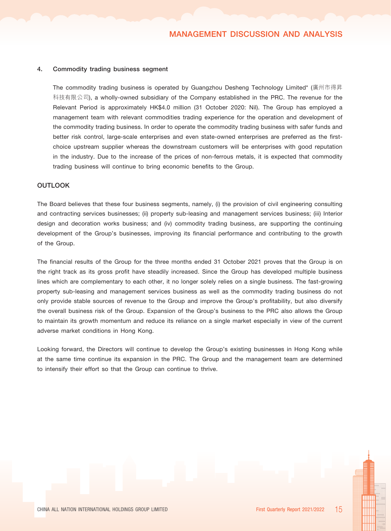#### 4. Commodity trading business segment

The commodity trading business is operated by Guangzhou Desheng Technology Limited\* (廣州市得昇 科技有限公司), a wholly-owned subsidiary of the Company established in the PRC. The revenue for the Relevant Period is approximately HK\$4.0 million (31 October 2020: Nil). The Group has employed a management team with relevant commodities trading experience for the operation and development of the commodity trading business. In order to operate the commodity trading business with safer funds and better risk control, large-scale enterprises and even state-owned enterprises are preferred as the firstchoice upstream supplier whereas the downstream customers will be enterprises with good reputation in the industry. Due to the increase of the prices of non-ferrous metals, it is expected that commodity trading business will continue to bring economic benefits to the Group.

#### **OUTLOOK**

The Board believes that these four business segments, namely, (i) the provision of civil engineering consulting and contracting services businesses; (ii) property sub-leasing and management services business; (iii) Interior design and decoration works business; and (iv) commodity trading business, are supporting the continuing development of the Group's businesses, improving its financial performance and contributing to the growth of the Group.

The financial results of the Group for the three months ended 31 October 2021 proves that the Group is on the right track as its gross profit have steadily increased. Since the Group has developed multiple business lines which are complementary to each other, it no longer solely relies on a single business. The fast-growing property sub-leasing and management services business as well as the commodity trading business do not only provide stable sources of revenue to the Group and improve the Group's profitability, but also diversify the overall business risk of the Group. Expansion of the Group's business to the PRC also allows the Group to maintain its growth momentum and reduce its reliance on a single market especially in view of the current adverse market conditions in Hong Kong.

Looking forward, the Directors will continue to develop the Group's existing businesses in Hong Kong while at the same time continue its expansion in the PRC. The Group and the management team are determined to intensify their effort so that the Group can continue to thrive.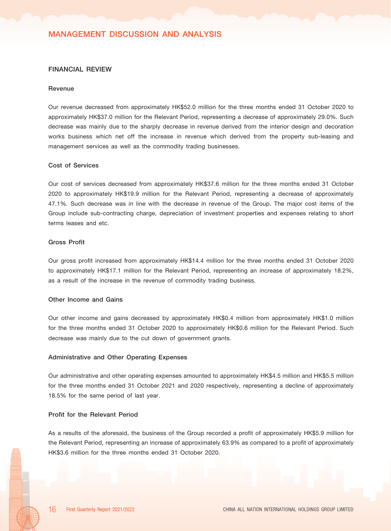# MANAGEMENT DISCUSSION AND ANALYSIS

#### FINANCIAL REVIEW

#### Revenue

Our revenue decreased from approximately HK\$52.0 million for the three months ended 31 October 2020 to approximately HK\$37.0 million for the Relevant Period, representing a decrease of approximately 29.0%. Such decrease was mainly due to the sharply decrease in revenue derived from the interior design and decoration works business which net off the increase in revenue which derived from the property sub-leasing and management services as well as the commodity trading businesses.

#### Cost of Services

Our cost of services decreased from approximately HK\$37.6 million for the three months ended 31 October 2020 to approximately HK\$19.9 million for the Relevant Period, representing a decrease of approximately 47.1%. Such decrease was in line with the decrease in revenue of the Group. The major cost items of the Group include sub-contracting charge, depreciation of investment properties and expenses relating to short terms leases and etc.

#### Gross Profit

Our gross profit increased from approximately HK\$14.4 million for the three months ended 31 October 2020 to approximately HK\$17.1 million for the Relevant Period, representing an increase of approximately 18.2%, as a result of the increase in the revenue of commodity trading business.

#### Other Income and Gains

Our other income and gains decreased by approximately HK\$0.4 million from approximately HK\$1.0 million for the three months ended 31 October 2020 to approximately HK\$0.6 million for the Relevant Period. Such decrease was mainly due to the cut down of government grants.

#### Administrative and Other Operating Expenses

Our administrative and other operating expenses amounted to approximately HK\$4.5 million and HK\$5.5 million for the three months ended 31 October 2021 and 2020 respectively, representing a decline of approximately 18.5% for the same period of last year.

#### Profit for the Relevant Period

As a results of the aforesaid, the business of the Group recorded a profit of approximately HK\$5.9 million for the Relevant Period, representing an increase of approximately 63.9% as compared to a profit of approximately HK\$3.6 million for the three months ended 31 October 2020.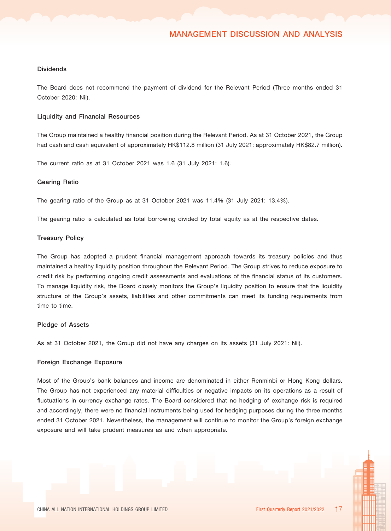#### **Dividends**

The Board does not recommend the payment of dividend for the Relevant Period (Three months ended 31 October 2020: Nil).

#### Liquidity and Financial Resources

The Group maintained a healthy financial position during the Relevant Period. As at 31 October 2021, the Group had cash and cash equivalent of approximately HK\$112.8 million (31 July 2021: approximately HK\$82.7 million).

The current ratio as at 31 October 2021 was 1.6 (31 July 2021: 1.6).

#### Gearing Ratio

The gearing ratio of the Group as at 31 October 2021 was 11.4% (31 July 2021: 13.4%).

The gearing ratio is calculated as total borrowing divided by total equity as at the respective dates.

#### Treasury Policy

The Group has adopted a prudent financial management approach towards its treasury policies and thus maintained a healthy liquidity position throughout the Relevant Period. The Group strives to reduce exposure to credit risk by performing ongoing credit assessments and evaluations of the financial status of its customers. To manage liquidity risk, the Board closely monitors the Group's liquidity position to ensure that the liquidity structure of the Group's assets, liabilities and other commitments can meet its funding requirements from time to time.

#### Pledge of Assets

As at 31 October 2021, the Group did not have any charges on its assets (31 July 2021: Nil).

#### Foreign Exchange Exposure

Most of the Group's bank balances and income are denominated in either Renminbi or Hong Kong dollars. The Group has not experienced any material difficulties or negative impacts on its operations as a result of fluctuations in currency exchange rates. The Board considered that no hedging of exchange risk is required and accordingly, there were no financial instruments being used for hedging purposes during the three months ended 31 October 2021. Nevertheless, the management will continue to monitor the Group's foreign exchange exposure and will take prudent measures as and when appropriate.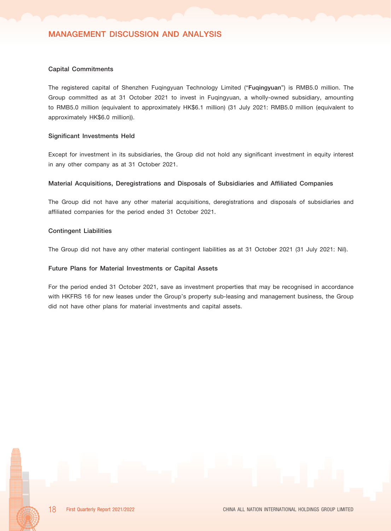#### Capital Commitments

The registered capital of Shenzhen Fuqingyuan Technology Limited ("Fuqingyuan") is RMB5.0 million. The Group committed as at 31 October 2021 to invest in Fuqingyuan, a wholly-owned subsidiary, amounting to RMB5.0 million (equivalent to approximately HK\$6.1 million) (31 July 2021: RMB5.0 million (equivalent to approximately HK\$6.0 million)).

#### Significant Investments Held

Except for investment in its subsidiaries, the Group did not hold any significant investment in equity interest in any other company as at 31 October 2021.

#### Material Acquisitions, Deregistrations and Disposals of Subsidiaries and Affiliated Companies

The Group did not have any other material acquisitions, deregistrations and disposals of subsidiaries and affiliated companies for the period ended 31 October 2021.

#### Contingent Liabilities

The Group did not have any other material contingent liabilities as at 31 October 2021 (31 July 2021: Nil).

#### Future Plans for Material Investments or Capital Assets

For the period ended 31 October 2021, save as investment properties that may be recognised in accordance with HKFRS 16 for new leases under the Group's property sub-leasing and management business, the Group did not have other plans for material investments and capital assets.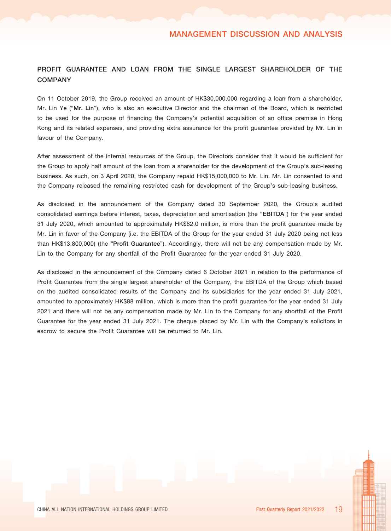# PROFIT GUARANTEE AND LOAN FROM THE SINGLE LARGEST SHAREHOLDER OF THE **COMPANY**

On 11 October 2019, the Group received an amount of HK\$30,000,000 regarding a loan from a shareholder, Mr. Lin Ye ("Mr. Lin"), who is also an executive Director and the chairman of the Board, which is restricted to be used for the purpose of financing the Company's potential acquisition of an office premise in Hong Kong and its related expenses, and providing extra assurance for the profit guarantee provided by Mr. Lin in favour of the Company.

After assessment of the internal resources of the Group, the Directors consider that it would be sufficient for the Group to apply half amount of the loan from a shareholder for the development of the Group's sub-leasing business. As such, on 3 April 2020, the Company repaid HK\$15,000,000 to Mr. Lin. Mr. Lin consented to and the Company released the remaining restricted cash for development of the Group's sub-leasing business.

As disclosed in the announcement of the Company dated 30 September 2020, the Group's audited consolidated earnings before interest, taxes, depreciation and amortisation (the "EBITDA") for the year ended 31 July 2020, which amounted to approximately HK\$82.0 million, is more than the profit guarantee made by Mr. Lin in favor of the Company (i.e. the EBITDA of the Group for the year ended 31 July 2020 being not less than HK\$13,800,000) (the "Profit Guarantee"). Accordingly, there will not be any compensation made by Mr. Lin to the Company for any shortfall of the Profit Guarantee for the year ended 31 July 2020.

As disclosed in the announcement of the Company dated 6 October 2021 in relation to the performance of Profit Guarantee from the single largest shareholder of the Company, the EBITDA of the Group which based on the audited consolidated results of the Company and its subsidiaries for the year ended 31 July 2021, amounted to approximately HK\$88 million, which is more than the profit guarantee for the year ended 31 July 2021 and there will not be any compensation made by Mr. Lin to the Company for any shortfall of the Profit Guarantee for the year ended 31 July 2021. The cheque placed by Mr. Lin with the Company's solicitors in escrow to secure the Profit Guarantee will be returned to Mr. Lin.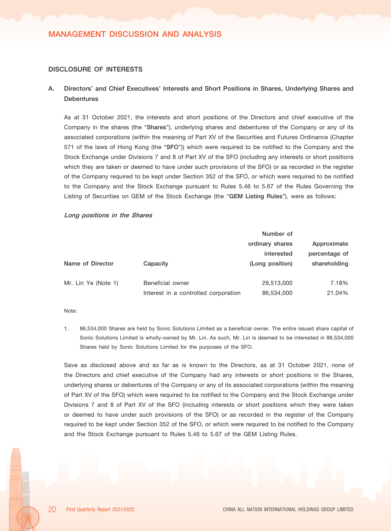#### DISCLOSURE OF INTERESTS

# A. Directors' and Chief Executives' Interests and Short Positions in Shares, Underlying Shares and **Debentures**

As at 31 October 2021, the interests and short positions of the Directors and chief executive of the Company in the shares (the "Shares"), underlying shares and debentures of the Company or any of its associated corporations (within the meaning of Part XV of the Securities and Futures Ordinance (Chapter 571 of the laws of Hong Kong (the "SFO")) which were required to be notified to the Company and the Stock Exchange under Divisions 7 and 8 of Part XV of the SFO (including any interests or short positions which they are taken or deemed to have under such provisions of the SFO) or as recorded in the register of the Company required to be kept under Section 352 of the SFO, or which were required to be notified to the Company and the Stock Exchange pursuant to Rules 5.46 to 5.67 of the Rules Governing the Listing of Securities on GEM of the Stock Exchange (the "GEM Listing Rules"), were as follows:

#### Long positions in the Shares

|                     |                                      | Number of       |               |
|---------------------|--------------------------------------|-----------------|---------------|
|                     |                                      | ordinary shares | Approximate   |
|                     |                                      | interested      | percentage of |
| Name of Director    | Capacity                             | (Long position) | shareholding  |
|                     |                                      |                 |               |
| Mr. Lin Ye (Note 1) | Beneficial owner                     | 29,513,000      | 7.18%         |
|                     | Interest in a controlled corporation | 86,534,000      | 21.04%        |

#### Note:

1. 86,534,000 Shares are held by Sonic Solutions Limited as a beneficial owner. The entire issued share capital of Sonic Solutions Limited is wholly-owned by Mr. Lin. As such, Mr. Lin is deemed to be interested in 86,534,000 Shares held by Sonic Solutions Limited for the purposes of the SFO.

Save as disclosed above and so far as is known to the Directors, as at 31 October 2021, none of the Directors and chief executive of the Company had any interests or short positions in the Shares, underlying shares or debentures of the Company or any of its associated corporations (within the meaning of Part XV of the SFO) which were required to be notified to the Company and the Stock Exchange under Divisions 7 and 8 of Part XV of the SFO (including interests or short positions which they were taken or deemed to have under such provisions of the SFO) or as recorded in the register of the Company required to be kept under Section 352 of the SFO, or which were required to be notified to the Company and the Stock Exchange pursuant to Rules 5.46 to 5.67 of the GEM Listing Rules.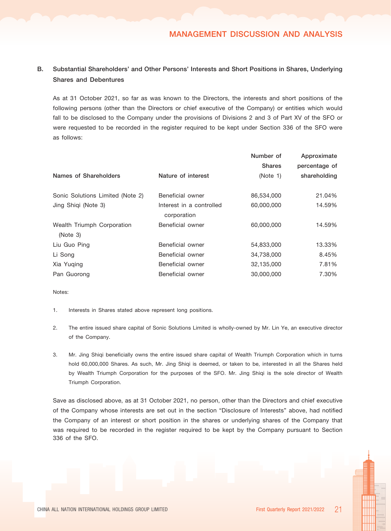# B. Substantial Shareholders' and Other Persons' Interests and Short Positions in Shares, Underlying Shares and Debentures

As at 31 October 2021, so far as was known to the Directors, the interests and short positions of the following persons (other than the Directors or chief executive of the Company) or entities which would fall to be disclosed to the Company under the provisions of Divisions 2 and 3 of Part XV of the SFO or were requested to be recorded in the register required to be kept under Section 336 of the SFO were as follows:

|                                        |                                         | Number of     | Approximate   |
|----------------------------------------|-----------------------------------------|---------------|---------------|
|                                        |                                         | <b>Shares</b> | percentage of |
| Names of Shareholders                  | Nature of interest                      | (Note 1)      | shareholding  |
| Sonic Solutions Limited (Note 2)       | Beneficial owner                        | 86,534,000    | 21.04%        |
| Jing Shiqi (Note 3)                    | Interest in a controlled<br>corporation | 60,000,000    | 14.59%        |
| Wealth Triumph Corporation<br>(Note 3) | Beneficial owner                        | 60,000,000    | 14.59%        |
| Liu Guo Ping                           | Beneficial owner                        | 54,833,000    | 13.33%        |
| Li Song                                | Beneficial owner                        | 34,738,000    | 8.45%         |
| Xia Yuging                             | Beneficial owner                        | 32,135,000    | 7.81%         |
| Pan Guorong                            | Beneficial owner                        | 30,000,000    | 7.30%         |

Notes:

- 1. Interests in Shares stated above represent long positions.
- 2. The entire issued share capital of Sonic Solutions Limited is wholly-owned by Mr. Lin Ye, an executive director of the Company.
- 3. Mr. Jing Shiqi beneficially owns the entire issued share capital of Wealth Triumph Corporation which in turns hold 60,000,000 Shares. As such, Mr. Jing Shiqi is deemed, or taken to be, interested in all the Shares held by Wealth Triumph Corporation for the purposes of the SFO. Mr. Jing Shiqi is the sole director of Wealth Triumph Corporation.

Save as disclosed above, as at 31 October 2021, no person, other than the Directors and chief executive of the Company whose interests are set out in the section "Disclosure of Interests" above, had notified the Company of an interest or short position in the shares or underlying shares of the Company that was required to be recorded in the register required to be kept by the Company pursuant to Section 336 of the SFO.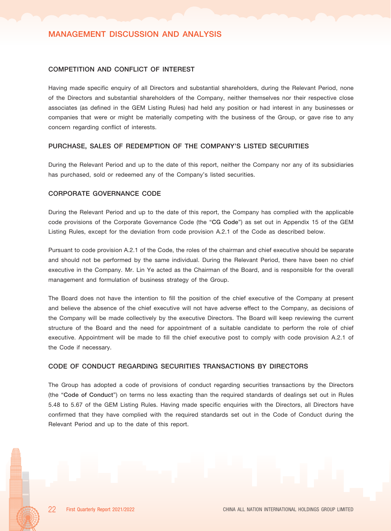#### COMPETITION AND CONFLICT OF INTEREST

Having made specific enquiry of all Directors and substantial shareholders, during the Relevant Period, none of the Directors and substantial shareholders of the Company, neither themselves nor their respective close associates (as defined in the GEM Listing Rules) had held any position or had interest in any businesses or companies that were or might be materially competing with the business of the Group, or gave rise to any concern regarding conflict of interests.

#### PURCHASE, SALES OF REDEMPTION OF THE COMPANY'S LISTED SECURITIES

During the Relevant Period and up to the date of this report, neither the Company nor any of its subsidiaries has purchased, sold or redeemed any of the Company's listed securities.

#### CORPORATE GOVERNANCE CODE

During the Relevant Period and up to the date of this report, the Company has complied with the applicable code provisions of the Corporate Governance Code (the "CG Code") as set out in Appendix 15 of the GEM Listing Rules, except for the deviation from code provision A.2.1 of the Code as described below.

Pursuant to code provision A.2.1 of the Code, the roles of the chairman and chief executive should be separate and should not be performed by the same individual. During the Relevant Period, there have been no chief executive in the Company. Mr. Lin Ye acted as the Chairman of the Board, and is responsible for the overall management and formulation of business strategy of the Group.

The Board does not have the intention to fill the position of the chief executive of the Company at present and believe the absence of the chief executive will not have adverse effect to the Company, as decisions of the Company will be made collectively by the executive Directors. The Board will keep reviewing the current structure of the Board and the need for appointment of a suitable candidate to perform the role of chief executive. Appointment will be made to fill the chief executive post to comply with code provision A.2.1 of the Code if necessary.

#### CODE OF CONDUCT REGARDING SECURITIES TRANSACTIONS BY DIRECTORS

The Group has adopted a code of provisions of conduct regarding securities transactions by the Directors (the "Code of Conduct") on terms no less exacting than the required standards of dealings set out in Rules 5.48 to 5.67 of the GEM Listing Rules. Having made specific enquiries with the Directors, all Directors have confirmed that they have complied with the required standards set out in the Code of Conduct during the Relevant Period and up to the date of this report.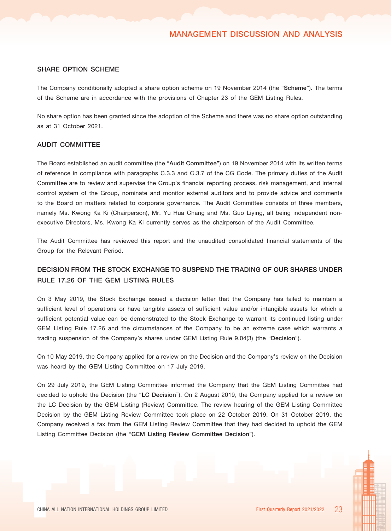#### SHARE OPTION SCHEME

The Company conditionally adopted a share option scheme on 19 November 2014 (the "Scheme"). The terms of the Scheme are in accordance with the provisions of Chapter 23 of the GEM Listing Rules.

No share option has been granted since the adoption of the Scheme and there was no share option outstanding as at 31 October 2021.

#### AUDIT COMMITTEE

The Board established an audit committee (the "Audit Committee") on 19 November 2014 with its written terms of reference in compliance with paragraphs C.3.3 and C.3.7 of the CG Code. The primary duties of the Audit Committee are to review and supervise the Group's financial reporting process, risk management, and internal control system of the Group, nominate and monitor external auditors and to provide advice and comments to the Board on matters related to corporate governance. The Audit Committee consists of three members, namely Ms. Kwong Ka Ki (Chairperson), Mr. Yu Hua Chang and Ms. Guo Liying, all being independent nonexecutive Directors, Ms. Kwong Ka Ki currently serves as the chairperson of the Audit Committee.

The Audit Committee has reviewed this report and the unaudited consolidated financial statements of the Group for the Relevant Period.

# DECISION FROM THE STOCK EXCHANGE TO SUSPEND THE TRADING OF OUR SHARES UNDER RULE 17.26 OF THE GEM LISTING RULES

On 3 May 2019, the Stock Exchange issued a decision letter that the Company has failed to maintain a sufficient level of operations or have tangible assets of sufficient value and/or intangible assets for which a sufficient potential value can be demonstrated to the Stock Exchange to warrant its continued listing under GEM Listing Rule 17.26 and the circumstances of the Company to be an extreme case which warrants a trading suspension of the Company's shares under GEM Listing Rule 9.04(3) (the "Decision").

On 10 May 2019, the Company applied for a review on the Decision and the Company's review on the Decision was heard by the GEM Listing Committee on 17 July 2019.

On 29 July 2019, the GEM Listing Committee informed the Company that the GEM Listing Committee had decided to uphold the Decision (the "LC Decision"). On 2 August 2019, the Company applied for a review on the LC Decision by the GEM Listing (Review) Committee. The review hearing of the GEM Listing Committee Decision by the GEM Listing Review Committee took place on 22 October 2019. On 31 October 2019, the Company received a fax from the GEM Listing Review Committee that they had decided to uphold the GEM Listing Committee Decision (the "GEM Listing Review Committee Decision").